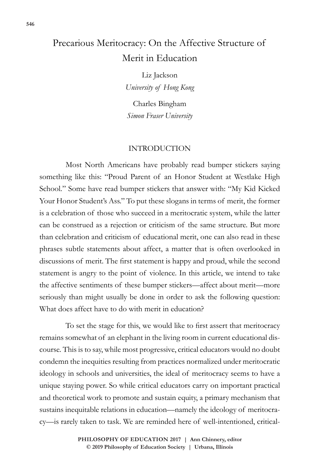# Precarious Meritocracy: On the Affective Structure of Merit in Education

Liz Jackson *University of Hong Kong*

Charles Bingham *Simon Fraser University*

## INTRODUCTION

Most North Americans have probably read bumper stickers saying something like this: "Proud Parent of an Honor Student at Westlake High School*.*" Some have read bumper stickers that answer with: "My Kid Kicked Your Honor Student's Ass." To put these slogans in terms of merit, the former is a celebration of those who succeed in a meritocratic system, while the latter can be construed as a rejection or criticism of the same structure. But more than celebration and criticism of educational merit, one can also read in these phrases subtle statements about affect, a matter that is often overlooked in discussions of merit. The first statement is happy and proud, while the second statement is angry to the point of violence. In this article, we intend to take the affective sentiments of these bumper stickers—affect about merit—more seriously than might usually be done in order to ask the following question: What does affect have to do with merit in education?

To set the stage for this, we would like to first assert that meritocracy remains somewhat of an elephant in the living room in current educational discourse. This is to say, while most progressive, critical educators would no doubt condemn the inequities resulting from practices normalized under meritocratic ideology in schools and universities, the ideal of meritocracy seems to have a unique staying power. So while critical educators carry on important practical and theoretical work to promote and sustain equity, a primary mechanism that sustains inequitable relations in education—namely the ideology of meritocracy—is rarely taken to task. We are reminded here of well-intentioned, critical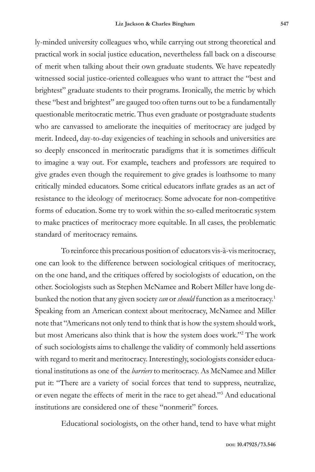ly-minded university colleagues who, while carrying out strong theoretical and practical work in social justice education, nevertheless fall back on a discourse of merit when talking about their own graduate students. We have repeatedly witnessed social justice-oriented colleagues who want to attract the "best and brightest" graduate students to their programs. Ironically, the metric by which these "best and brightest" are gauged too often turns out to be a fundamentally questionable meritocratic metric. Thus even graduate or postgraduate students who are canvassed to ameliorate the inequities of meritocracy are judged by merit. Indeed, day-to-day exigencies of teaching in schools and universities are so deeply ensconced in meritocratic paradigms that it is sometimes difficult to imagine a way out. For example, teachers and professors are required to give grades even though the requirement to give grades is loathsome to many critically minded educators. Some critical educators inflate grades as an act of resistance to the ideology of meritocracy. Some advocate for non-competitive forms of education. Some try to work within the so-called meritocratic system to make practices of meritocracy more equitable. In all cases, the problematic standard of meritocracy remains.

To reinforce this precarious position of educators vis-à-vis meritocracy, one can look to the difference between sociological critiques of meritocracy, on the one hand, and the critiques offered by sociologists of education, on the other. Sociologists such as Stephen McNamee and Robert Miller have long debunked the notion that any given society *can* or *should* function as a meritocracy.1 Speaking from an American context about meritocracy, McNamee and Miller note that "Americans not only tend to think that is how the system should work, but most Americans also think that is how the system does work."2 The work of such sociologists aims to challenge the validity of commonly held assertions with regard to merit and meritocracy. Interestingly, sociologists consider educational institutions as one of the *barriers* to meritocracy. As McNamee and Miller put it: "There are a variety of social forces that tend to suppress, neutralize, or even negate the effects of merit in the race to get ahead."3 And educational institutions are considered one of these "nonmerit" forces.

Educational sociologists, on the other hand, tend to have what might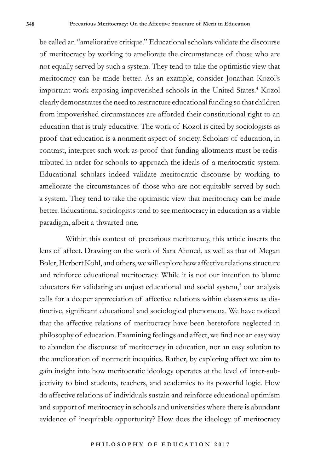be called an "ameliorative critique." Educational scholars validate the discourse of meritocracy by working to ameliorate the circumstances of those who are not equally served by such a system. They tend to take the optimistic view that meritocracy can be made better. As an example, consider Jonathan Kozol's important work exposing impoverished schools in the United States.<sup>4</sup> Kozol clearly demonstrates the need to restructure educational funding so that children from impoverished circumstances are afforded their constitutional right to an education that is truly educative. The work of Kozol is cited by sociologists as proof that education is a nonmerit aspect of society. Scholars of education, in contrast, interpret such work as proof that funding allotments must be redistributed in order for schools to approach the ideals of a meritocratic system. Educational scholars indeed validate meritocratic discourse by working to ameliorate the circumstances of those who are not equitably served by such a system. They tend to take the optimistic view that meritocracy can be made better. Educational sociologists tend to see meritocracy in education as a viable paradigm, albeit a thwarted one.

Within this context of precarious meritocracy, this article inserts the lens of affect. Drawing on the work of Sara Ahmed, as well as that of Megan Boler, Herbert Kohl, and others, we will explore how affective relations structure and reinforce educational meritocracy. While it is not our intention to blame educators for validating an unjust educational and social system,<sup>5</sup> our analysis calls for a deeper appreciation of affective relations within classrooms as distinctive, significant educational and sociological phenomena. We have noticed that the affective relations of meritocracy have been heretofore neglected in philosophy of education. Examining feelings and affect, we find not an easy way to abandon the discourse of meritocracy in education, nor an easy solution to the amelioration of nonmerit inequities. Rather, by exploring affect we aim to gain insight into how meritocratic ideology operates at the level of inter-subjectivity to bind students, teachers, and academics to its powerful logic. How do affective relations of individuals sustain and reinforce educational optimism and support of meritocracy in schools and universities where there is abundant evidence of inequitable opportunity? How does the ideology of meritocracy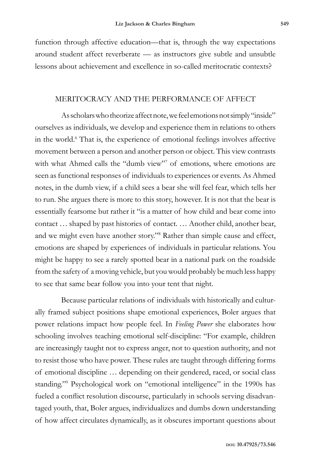function through affective education—that is, through the way expectations around student affect reverberate — as instructors give subtle and unsubtle lessons about achievement and excellence in so-called meritocratic contexts?

## MERITOCRACY AND THE PERFORMANCE OF AFFECT

As scholars who theorize affect note, we feel emotions not simply "inside" ourselves as individuals, we develop and experience them in relations to others in the world.<sup>6</sup> That is, the experience of emotional feelings involves affective movement between a person and another person or object. This view contrasts with what Ahmed calls the "dumb view"<sup>7</sup> of emotions, where emotions are seen as functional responses of individuals to experiences or events. As Ahmed notes, in the dumb view, if a child sees a bear she will feel fear, which tells her to run. She argues there is more to this story, however. It is not that the bear is essentially fearsome but rather it "is a matter of how child and bear come into contact … shaped by past histories of contact. … Another child, another bear, and we might even have another story."8 Rather than simple cause and effect, emotions are shaped by experiences of individuals in particular relations. You might be happy to see a rarely spotted bear in a national park on the roadside from the safety of a moving vehicle, but you would probably be much less happy to see that same bear follow you into your tent that night.

Because particular relations of individuals with historically and culturally framed subject positions shape emotional experiences, Boler argues that power relations impact how people feel. In *Feeling Power* she elaborates how schooling involves teaching emotional self-discipline: "For example, children are increasingly taught not to express anger, not to question authority, and not to resist those who have power. These rules are taught through differing forms of emotional discipline … depending on their gendered, raced, or social class standing."9 Psychological work on "emotional intelligence" in the 1990s has fueled a conflict resolution discourse, particularly in schools serving disadvantaged youth, that, Boler argues, individualizes and dumbs down understanding of how affect circulates dynamically, as it obscures important questions about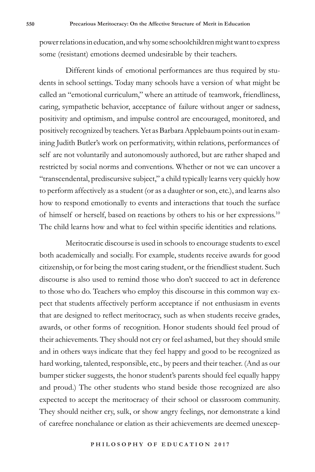power relations in education, and why some schoolchildren might want to express some (resistant) emotions deemed undesirable by their teachers.

Different kinds of emotional performances are thus required by students in school settings. Today many schools have a version of what might be called an "emotional curriculum," where an attitude of teamwork, friendliness, caring, sympathetic behavior, acceptance of failure without anger or sadness, positivity and optimism, and impulse control are encouraged, monitored, and positively recognized by teachers. Yet as Barbara Applebaum points out in examining Judith Butler's work on performativity, within relations, performances of self are not voluntarily and autonomously authored, but are rather shaped and restricted by social norms and conventions. Whether or not we can uncover a "transcendental, prediscursive subject," a child typically learns very quickly how to perform affectively as a student (or as a daughter or son, etc.), and learns also how to respond emotionally to events and interactions that touch the surface of himself or herself, based on reactions by others to his or her expressions.10 The child learns how and what to feel within specific identities and relations.

Meritocratic discourse is used in schools to encourage students to excel both academically and socially. For example, students receive awards for good citizenship, or for being the most caring student, or the friendliest student. Such discourse is also used to remind those who don't succeed to act in deference to those who do. Teachers who employ this discourse in this common way expect that students affectively perform acceptance if not enthusiasm in events that are designed to reflect meritocracy, such as when students receive grades, awards, or other forms of recognition. Honor students should feel proud of their achievements. They should not cry or feel ashamed, but they should smile and in others ways indicate that they feel happy and good to be recognized as hard working, talented, responsible, etc., by peers and their teacher. (And as our bumper sticker suggests, the honor student's parents should feel equally happy and proud.) The other students who stand beside those recognized are also expected to accept the meritocracy of their school or classroom community. They should neither cry, sulk, or show angry feelings, nor demonstrate a kind of carefree nonchalance or elation as their achievements are deemed unexcep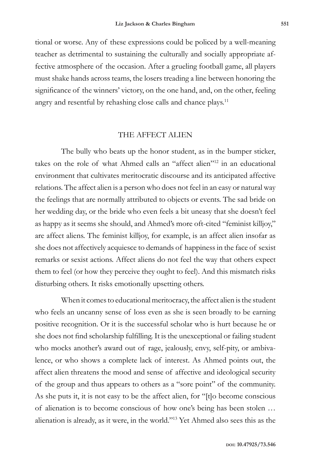tional or worse. Any of these expressions could be policed by a well-meaning teacher as detrimental to sustaining the culturally and socially appropriate affective atmosphere of the occasion. After a grueling football game, all players must shake hands across teams, the losers treading a line between honoring the significance of the winners' victory, on the one hand, and, on the other, feeling angry and resentful by rehashing close calls and chance plays.<sup>11</sup>

## THE AFFECT ALIEN

The bully who beats up the honor student, as in the bumper sticker, takes on the role of what Ahmed calls an "affect alien"12 in an educational environment that cultivates meritocratic discourse and its anticipated affective relations. The affect alien is a person who does not feel in an easy or natural way the feelings that are normally attributed to objects or events. The sad bride on her wedding day, or the bride who even feels a bit uneasy that she doesn't feel as happy as it seems she should, and Ahmed's more oft-cited "feminist killjoy," are affect aliens. The feminist killjoy, for example, is an affect alien insofar as she does not affectively acquiesce to demands of happiness in the face of sexist remarks or sexist actions. Affect aliens do not feel the way that others expect them to feel (or how they perceive they ought to feel). And this mismatch risks disturbing others. It risks emotionally upsetting others.

When it comes to educational meritocracy, the affect alien is the student who feels an uncanny sense of loss even as she is seen broadly to be earning positive recognition. Or it is the successful scholar who is hurt because he or she does not find scholarship fulfilling. It is the unexceptional or failing student who mocks another's award out of rage, jealously, envy, self-pity, or ambivalence, or who shows a complete lack of interest. As Ahmed points out, the affect alien threatens the mood and sense of affective and ideological security of the group and thus appears to others as a "sore point" of the community. As she puts it, it is not easy to be the affect alien, for "[t]o become conscious of alienation is to become conscious of how one's being has been stolen … alienation is already, as it were, in the world."13 Yet Ahmed also sees this as the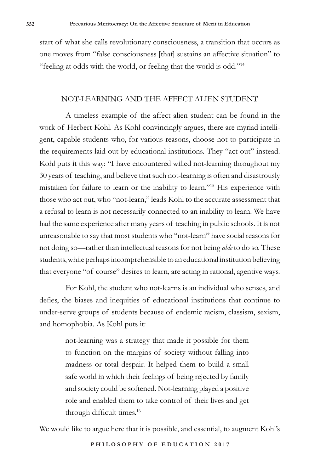start of what she calls revolutionary consciousness, a transition that occurs as one moves from "false consciousness [that] sustains an affective situation" to "feeling at odds with the world, or feeling that the world is odd."14

### NOT-LEARNING AND THE AFFECT ALIEN STUDENT

A timeless example of the affect alien student can be found in the work of Herbert Kohl. As Kohl convincingly argues, there are myriad intelligent, capable students who, for various reasons, choose not to participate in the requirements laid out by educational institutions. They "act out" instead. Kohl puts it this way: "I have encountered willed not-learning throughout my 30 years of teaching, and believe that such not-learning is often and disastrously mistaken for failure to learn or the inability to learn."15 His experience with those who act out, who "not-learn," leads Kohl to the accurate assessment that a refusal to learn is not necessarily connected to an inability to learn. We have had the same experience after many years of teaching in public schools. It is not unreasonable to say that most students who "not-learn" have social reasons for not doing so—rather than intellectual reasons for not being *able* to do so. These students, while perhaps incomprehensible to an educational institution believing that everyone "of course" desires to learn, are acting in rational, agentive ways.

For Kohl, the student who not-learns is an individual who senses, and defies, the biases and inequities of educational institutions that continue to under-serve groups of students because of endemic racism, classism, sexism, and homophobia. As Kohl puts it:

> not-learning was a strategy that made it possible for them to function on the margins of society without falling into madness or total despair. It helped them to build a small safe world in which their feelings of being rejected by family and society could be softened. Not-learning played a positive role and enabled them to take control of their lives and get through difficult times.<sup>16</sup>

We would like to argue here that it is possible, and essential, to augment Kohl's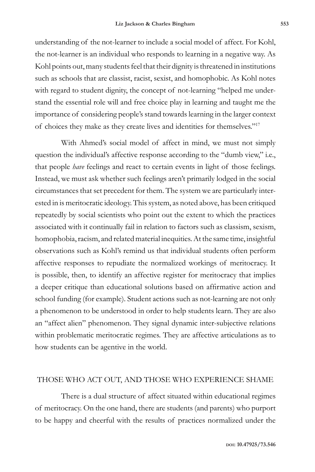understanding of the not-learner to include a social model of affect. For Kohl, the not-learner is an individual who responds to learning in a negative way. As Kohl points out, many students feel that their dignity is threatened in institutions such as schools that are classist, racist, sexist, and homophobic. As Kohl notes with regard to student dignity, the concept of not-learning "helped me understand the essential role will and free choice play in learning and taught me the importance of considering people's stand towards learning in the larger context of choices they make as they create lives and identities for themselves."17

With Ahmed's social model of affect in mind, we must not simply question the individual's affective response according to the "dumb view," i.e., that people *have* feelings and react to certain events in light of those feelings. Instead, we must ask whether such feelings aren't primarily lodged in the social circumstances that set precedent for them. The system we are particularly interested in is meritocratic ideology. This system, as noted above, has been critiqued repeatedly by social scientists who point out the extent to which the practices associated with it continually fail in relation to factors such as classism, sexism, homophobia, racism, and related material inequities. At the same time, insightful observations such as Kohl's remind us that individual students often perform affective responses to repudiate the normalized workings of meritocracy. It is possible, then, to identify an affective register for meritocracy that implies a deeper critique than educational solutions based on affirmative action and school funding (for example). Student actions such as not-learning are not only a phenomenon to be understood in order to help students learn. They are also an "affect alien" phenomenon. They signal dynamic inter-subjective relations within problematic meritocratic regimes. They are affective articulations as to how students can be agentive in the world.

### THOSE WHO ACT OUT, AND THOSE WHO EXPERIENCE SHAME

There is a dual structure of affect situated within educational regimes of meritocracy. On the one hand, there are students (and parents) who purport to be happy and cheerful with the results of practices normalized under the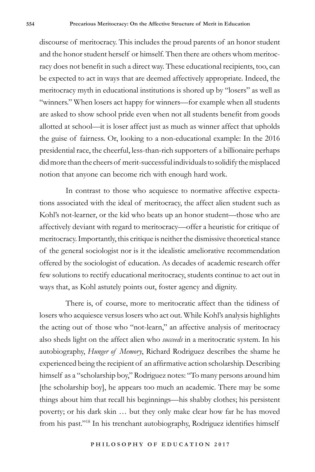discourse of meritocracy. This includes the proud parents of an honor student and the honor student herself or himself. Then there are others whom meritocracy does not benefit in such a direct way. These educational recipients, too, can be expected to act in ways that are deemed affectively appropriate. Indeed, the meritocracy myth in educational institutions is shored up by "losers" as well as "winners." When losers act happy for winners—for example when all students are asked to show school pride even when not all students benefit from goods allotted at school—it is loser affect just as much as winner affect that upholds the guise of fairness. Or, looking to a non-educational example: In the 2016 presidential race, the cheerful, less-than-rich supporters of a billionaire perhaps did more than the cheers of merit-successful individuals to solidify the misplaced notion that anyone can become rich with enough hard work.

In contrast to those who acquiesce to normative affective expectations associated with the ideal of meritocracy, the affect alien student such as Kohl's not-learner, or the kid who beats up an honor student—those who are affectively deviant with regard to meritocracy—offer a heuristic for critique of meritocracy. Importantly, this critique is neither the dismissive theoretical stance of the general sociologist nor is it the idealistic ameliorative recommendation offered by the sociologist of education. As decades of academic research offer few solutions to rectify educational meritocracy, students continue to act out in ways that, as Kohl astutely points out, foster agency and dignity.

There is, of course, more to meritocratic affect than the tidiness of losers who acquiesce versus losers who act out. While Kohl's analysis highlights the acting out of those who "not-learn," an affective analysis of meritocracy also sheds light on the affect alien who *succeeds* in a meritocratic system. In his autobiography, *Hunger of Memory*, Richard Rodriguez describes the shame he experienced being the recipient of an affirmative action scholarship. Describing himself as a "scholarship boy," Rodriguez notes: "To many persons around him [the scholarship boy], he appears too much an academic. There may be some things about him that recall his beginnings—his shabby clothes; his persistent poverty; or his dark skin … but they only make clear how far he has moved from his past."18 In his trenchant autobiography, Rodriguez identifies himself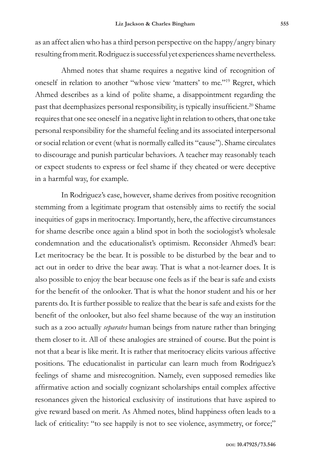as an affect alien who has a third person perspective on the happy/angry binary resulting from merit. Rodriguez is successful yet experiences shame nevertheless.

Ahmed notes that shame requires a negative kind of recognition of oneself in relation to another "whose view 'matters' to me."19 Regret, which Ahmed describes as a kind of polite shame, a disappointment regarding the past that deemphasizes personal responsibility, is typically insufficient.<sup>20</sup> Shame requires that one see oneself in a negative light in relation to others, that one take personal responsibility for the shameful feeling and its associated interpersonal or social relation or event (what is normally called its "cause"). Shame circulates to discourage and punish particular behaviors. A teacher may reasonably teach or expect students to express or feel shame if they cheated or were deceptive in a harmful way, for example.

In Rodriguez's case, however, shame derives from positive recognition stemming from a legitimate program that ostensibly aims to rectify the social inequities of gaps in meritocracy. Importantly, here, the affective circumstances for shame describe once again a blind spot in both the sociologist's wholesale condemnation and the educationalist's optimism. Reconsider Ahmed's bear: Let meritocracy be the bear. It is possible to be disturbed by the bear and to act out in order to drive the bear away. That is what a not-learner does. It is also possible to enjoy the bear because one feels as if the bear is safe and exists for the benefit of the onlooker. That is what the honor student and his or her parents do. It is further possible to realize that the bear is safe and exists for the benefit of the onlooker, but also feel shame because of the way an institution such as a zoo actually *separates* human beings from nature rather than bringing them closer to it. All of these analogies are strained of course. But the point is not that a bear is like merit. It is rather that meritocracy elicits various affective positions. The educationalist in particular can learn much from Rodriguez's feelings of shame and misrecognition. Namely, even supposed remedies like affirmative action and socially cognizant scholarships entail complex affective resonances given the historical exclusivity of institutions that have aspired to give reward based on merit. As Ahmed notes, blind happiness often leads to a lack of criticality: "to see happily is not to see violence, asymmetry, or force;"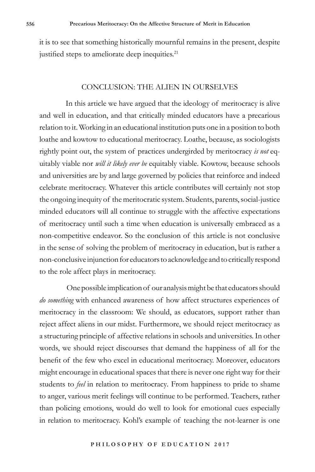it is to see that something historically mournful remains in the present, despite justified steps to ameliorate deep inequities.<sup>21</sup>

#### CONCLUSION: THE ALIEN IN OURSELVES

In this article we have argued that the ideology of meritocracy is alive and well in education, and that critically minded educators have a precarious relation to it. Working in an educational institution puts one in a position to both loathe and kowtow to educational meritocracy. Loathe, because, as sociologists rightly point out, the system of practices undergirded by meritocracy *is not* equitably viable nor *will it likely ever be* equitably viable. Kowtow, because schools and universities are by and large governed by policies that reinforce and indeed celebrate meritocracy. Whatever this article contributes will certainly not stop the ongoing inequity of the meritocratic system. Students, parents, social-justice minded educators will all continue to struggle with the affective expectations of meritocracy until such a time when education is universally embraced as a non-competitive endeavor. So the conclusion of this article is not conclusive in the sense of solving the problem of meritocracy in education, but is rather a non-conclusive injunction for educators to acknowledge and to critically respond to the role affect plays in meritocracy.

 One possible implication of our analysis might be that educators should *do something* with enhanced awareness of how affect structures experiences of meritocracy in the classroom: We should, as educators, support rather than reject affect aliens in our midst. Furthermore, we should reject meritocracy as a structuring principle of affective relations in schools and universities. In other words, we should reject discourses that demand the happiness of all for the benefit of the few who excel in educational meritocracy. Moreover, educators might encourage in educational spaces that there is never one right way for their students to *feel* in relation to meritocracy*.* From happiness to pride to shame to anger, various merit feelings will continue to be performed. Teachers, rather than policing emotions, would do well to look for emotional cues especially in relation to meritocracy. Kohl's example of teaching the not-learner is one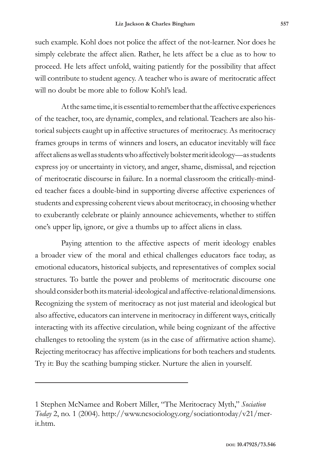such example. Kohl does not police the affect of the not-learner. Nor does he simply celebrate the affect alien. Rather, he lets affect be a clue as to how to proceed. He lets affect unfold, waiting patiently for the possibility that affect will contribute to student agency. A teacher who is aware of meritocratic affect will no doubt be more able to follow Kohl's lead.

At the same time, it is essential to remember that the affective experiences of the teacher, too, are dynamic, complex, and relational. Teachers are also historical subjects caught up in affective structures of meritocracy. As meritocracy frames groups in terms of winners and losers, an educator inevitably will face affect aliens as well as students who affectively bolster merit ideology—as students express joy or uncertainty in victory, and anger, shame, dismissal, and rejection of meritocratic discourse in failure. In a normal classroom the critically-minded teacher faces a double-bind in supporting diverse affective experiences of students and expressing coherent views about meritocracy, in choosing whether to exuberantly celebrate or plainly announce achievements, whether to stiffen one's upper lip, ignore, or give a thumbs up to affect aliens in class.

Paying attention to the affective aspects of merit ideology enables a broader view of the moral and ethical challenges educators face today, as emotional educators, historical subjects, and representatives of complex social structures. To battle the power and problems of meritocratic discourse one should consider both its material-ideological and affective-relational dimensions. Recognizing the system of meritocracy as not just material and ideological but also affective, educators can intervene in meritocracy in different ways, critically interacting with its affective circulation, while being cognizant of the affective challenges to retooling the system (as in the case of affirmative action shame). Rejecting meritocracy has affective implications for both teachers and students. Try it: Buy the scathing bumping sticker. Nurture the alien in yourself.

<sup>1</sup> Stephen McNamee and Robert Miller, "The Meritocracy Myth," *Sociation Today* 2, no. 1 (2004). http://www.ncsociology.org/sociationtoday/v21/merit.htm.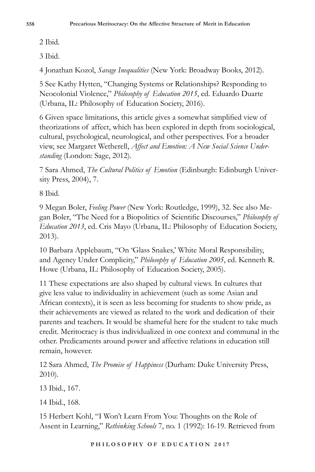2 Ibid.

3 Ibid.

4 Jonathan Kozol, *Savage Inequalities* (New York: Broadway Books, 2012).

5 See Kathy Hytten, "Changing Systems or Relationships? Responding to Neocolonial Violence," *Philosophy of Education 2015*, ed. Eduardo Duarte (Urbana, IL: Philosophy of Education Society, 2016).

6 Given space limitations, this article gives a somewhat simplified view of theorizations of affect, which has been explored in depth from sociological, cultural, psychological, neurological, and other perspectives. For a broader view, see Margaret Wetherell, *Affect and Emotion: A New Social Science Understanding* (London: Sage, 2012).

7 Sara Ahmed, *The Cultural Politics of Emotion* (Edinburgh: Edinburgh University Press, 2004), 7.

8 Ibid.

9 Megan Boler, *Feeling Power* (New York: Routledge, 1999), 32. See also Megan Boler, "The Need for a Biopolitics of Scientific Discourses," *Philosophy of Education 2013*, ed. Cris Mayo (Urbana, IL: Philosophy of Education Society, 2013).

10 Barbara Applebaum, "On 'Glass Snakes,' White Moral Responsibility, and Agency Under Complicity," *Philosophy of Education 2005*, ed. Kenneth R. Howe (Urbana, IL: Philosophy of Education Society, 2005).

11 These expectations are also shaped by cultural views. In cultures that give less value to individuality in achievement (such as some Asian and African contexts), it is seen as less becoming for students to show pride, as their achievements are viewed as related to the work and dedication of their parents and teachers. It would be shameful here for the student to take much credit. Meritocracy is thus individualized in one context and communal in the other. Predicaments around power and affective relations in education still remain, however.

12 Sara Ahmed, *The Promise of Happiness* (Durham: Duke University Press, 2010).

13 Ibid., 167.

14 Ibid., 168.

15 Herbert Kohl, "I Won't Learn From You: Thoughts on the Role of Assent in Learning," *Rethinking Schools* 7, no. 1 (1992): 16-19. Retrieved from